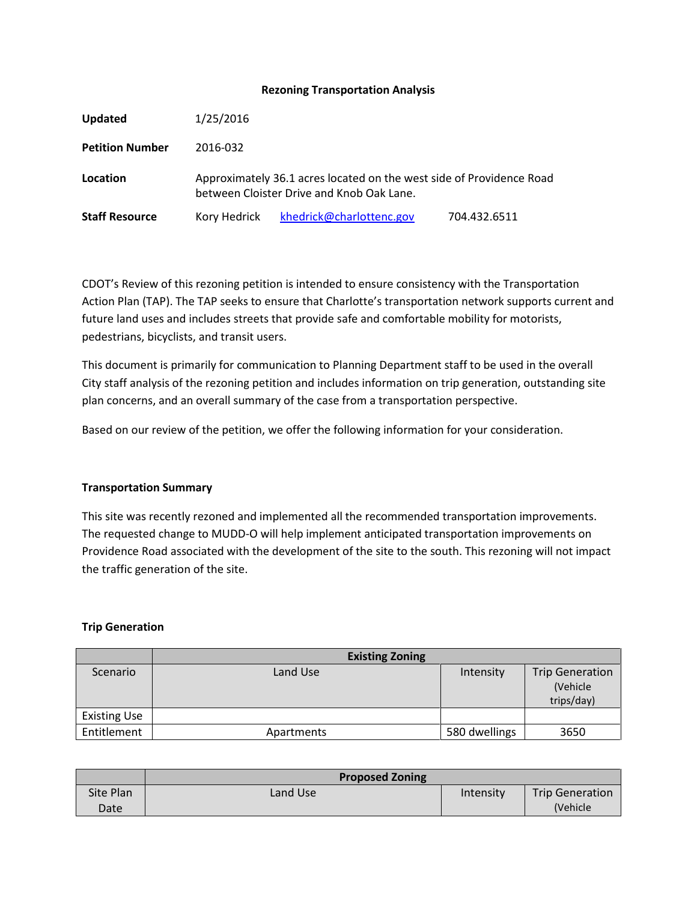## **Rezoning Transportation Analysis**

| Updated                | 1/25/2016    |                                                                                                                   |              |
|------------------------|--------------|-------------------------------------------------------------------------------------------------------------------|--------------|
| <b>Petition Number</b> | 2016-032     |                                                                                                                   |              |
| Location               |              | Approximately 36.1 acres located on the west side of Providence Road<br>between Cloister Drive and Knob Oak Lane. |              |
| <b>Staff Resource</b>  | Kory Hedrick | khedrick@charlottenc.gov                                                                                          | 704.432.6511 |

CDOT's Review of this rezoning petition is intended to ensure consistency with the Transportation Action Plan (TAP). The TAP seeks to ensure that Charlotte's transportation network supports current and future land uses and includes streets that provide safe and comfortable mobility for motorists, pedestrians, bicyclists, and transit users.

This document is primarily for communication to Planning Department staff to be used in the overall City staff analysis of the rezoning petition and includes information on trip generation, outstanding site plan concerns, and an overall summary of the case from a transportation perspective.

Based on our review of the petition, we offer the following information for your consideration.

# **Transportation Summary**

This site was recently rezoned and implemented all the recommended transportation improvements. The requested change to MUDD-O will help implement anticipated transportation improvements on Providence Road associated with the development of the site to the south. This rezoning will not impact the traffic generation of the site.

### **Trip Generation**

|                     | <b>Existing Zoning</b> |               |                        |  |
|---------------------|------------------------|---------------|------------------------|--|
| Scenario            | Land Use               | Intensity     | <b>Trip Generation</b> |  |
|                     |                        |               | (Vehicle               |  |
|                     |                        |               | trips/day)             |  |
| <b>Existing Use</b> |                        |               |                        |  |
| Entitlement         | Apartments             | 580 dwellings | 3650                   |  |

|           | <b>Proposed Zoning</b> |           |                        |  |
|-----------|------------------------|-----------|------------------------|--|
| Site Plan | Land Use               | Intensity | <b>Trip Generation</b> |  |
| Date      |                        |           | <i>(Vehicle)</i>       |  |